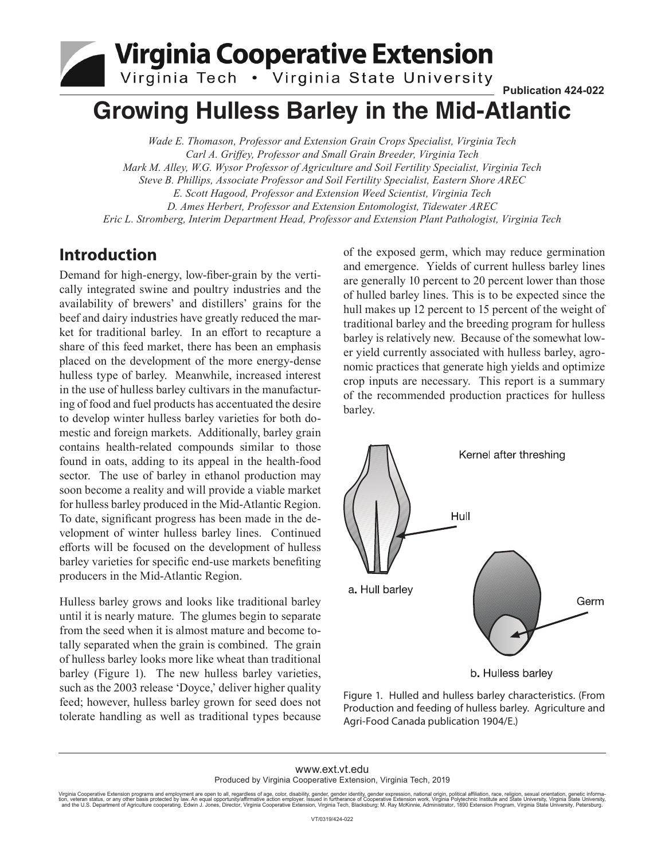# Virginia Cooperative Extension

Virginia Tech . Virginia State University

## **Growing Hulless Barley in the Mid-Atlantic**

*Wade E. Thomason, Professor and Extension Grain Crops Specialist, Virginia Tech Carl A. Griffey, Professor and Small Grain Breeder, Virginia Tech Mark M. Alley, W.G. Wysor Professor of Agriculture and Soil Fertility Specialist, Virginia Tech Steve B. Phillips, Associate Professor and Soil Fertility Specialist, Eastern Shore AREC E. Scott Hagood, Professor and Extension Weed Scientist, Virginia Tech D. Ames Herbert, Professor and Extension Entomologist, Tidewater AREC Eric L. Stromberg, Interim Department Head, Professor and Extension Plant Pathologist, Virginia Tech*

### **Introduction**

Demand for high-energy, low-fiber-grain by the vertically integrated swine and poultry industries and the availability of brewers' and distillers' grains for the beef and dairy industries have greatly reduced the market for traditional barley. In an effort to recapture a share of this feed market, there has been an emphasis placed on the development of the more energy-dense hulless type of barley. Meanwhile, increased interest in the use of hulless barley cultivars in the manufacturing of food and fuel products has accentuated the desire to develop winter hulless barley varieties for both domestic and foreign markets. Additionally, barley grain contains health-related compounds similar to those found in oats, adding to its appeal in the health-food sector. The use of barley in ethanol production may soon become a reality and will provide a viable market for hulless barley produced in the Mid-Atlantic Region. To date, significant progress has been made in the development of winter hulless barley lines. Continued efforts will be focused on the development of hulless barley varieties for specific end-use markets benefiting producers in the Mid-Atlantic Region.

Hulless barley grows and looks like traditional barley until it is nearly mature. The glumes begin to separate from the seed when it is almost mature and become totally separated when the grain is combined. The grain of hulless barley looks more like wheat than traditional barley (Figure 1). The new hulless barley varieties, such as the 2003 release 'Doyce,' deliver higher quality feed; however, hulless barley grown for seed does not tolerate handling as well as traditional types because of the exposed germ, which may reduce germination and emergence. Yields of current hulless barley lines are generally 10 percent to 20 percent lower than those of hulled barley lines. This is to be expected since the hull makes up 12 percent to 15 percent of the weight of traditional barley and the breeding program for hulless barley is relatively new. Because of the somewhat lower yield currently associated with hulless barley, agronomic practices that generate high yields and optimize crop inputs are necessary. This report is a summary of the recommended production practices for hulless barley.

**Publication 424-022**



Figure 1. Hulled and hulless barley characteristics. (From Production and feeding of hulless barley. Agriculture and Agri-Food Canada publication 1904/E.)

#### www.ext.vt.edu Produced by Virginia Cooperative Extension, Virginia Tech, 2019

Virginia Cooperative Extension programs and employment are open to all, regardless of age, color, disability, gender, gender identity, gender expression, national origin, political affiliation, race, religion, sexual orien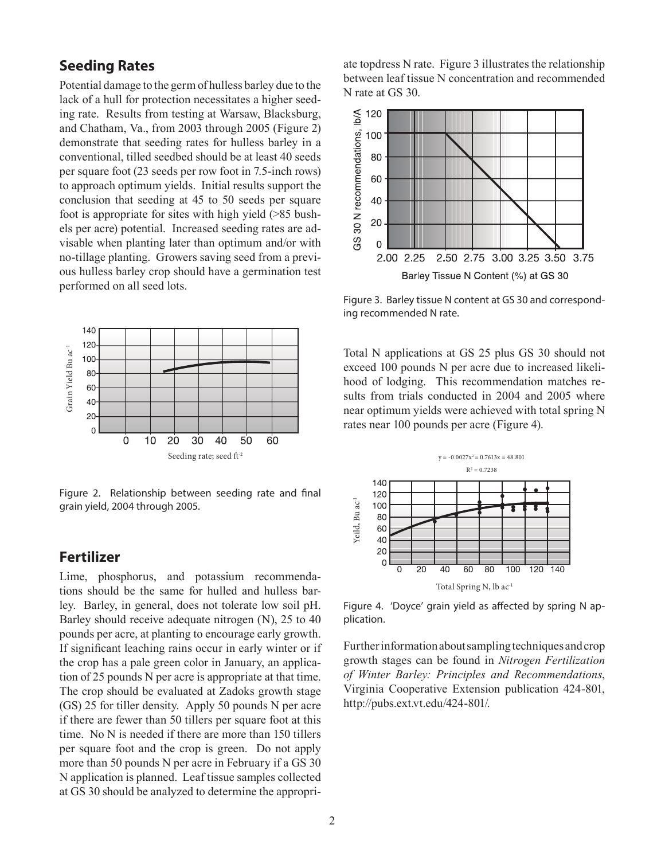#### **Seeding Rates**

Potential damage to the germ of hulless barley due to the lack of a hull for protection necessitates a higher seeding rate. Results from testing at Warsaw, Blacksburg, and Chatham, Va., from 2003 through 2005 (Figure 2) demonstrate that seeding rates for hulless barley in a conventional, tilled seedbed should be at least 40 seeds per square foot (23 seeds per row foot in 7.5-inch rows) to approach optimum yields. Initial results support the conclusion that seeding at 45 to 50 seeds per square foot is appropriate for sites with high yield (>85 bushels per acre) potential. Increased seeding rates are advisable when planting later than optimum and/or with no-tillage planting. Growers saving seed from a previous hulless barley crop should have a germination test performed on all seed lots.



Figure 2. Relationship between seeding rate and final grain yield, 2004 through 2005.

#### **Fertilizer**

Lime, phosphorus, and potassium recommendations should be the same for hulled and hulless barley. Barley, in general, does not tolerate low soil pH. Barley should receive adequate nitrogen (N), 25 to 40 pounds per acre, at planting to encourage early growth. If significant leaching rains occur in early winter or if the crop has a pale green color in January, an application of 25 pounds N per acre is appropriate at that time. The crop should be evaluated at Zadoks growth stage (GS) 25 for tiller density. Apply 50 pounds N per acre if there are fewer than 50 tillers per square foot at this time. No N is needed if there are more than 150 tillers per square foot and the crop is green. Do not apply more than 50 pounds N per acre in February if a GS 30 N application is planned. Leaf tissue samples collected at GS 30 should be analyzed to determine the appropriate topdress N rate. Figure 3 illustrates the relationship between leaf tissue N concentration and recommended N rate at GS 30.



Figure 3. Barley tissue N content at GS 30 and corresponding recommended N rate.

Total N applications at GS 25 plus GS 30 should not exceed 100 pounds N per acre due to increased likelihood of lodging. This recommendation matches results from trials conducted in 2004 and 2005 where near optimum yields were achieved with total spring N rates near 100 pounds per acre (Figure 4).



Figure 4. 'Doyce' grain yield as affected by spring N application.

Further information about sampling techniques and crop growth stages can be found in *Nitrogen Fertilization of Winter Barley: Principles and Recommendations*, Virginia Cooperative Extension publication 424-801, http://pubs.ext.vt.edu/424-801/.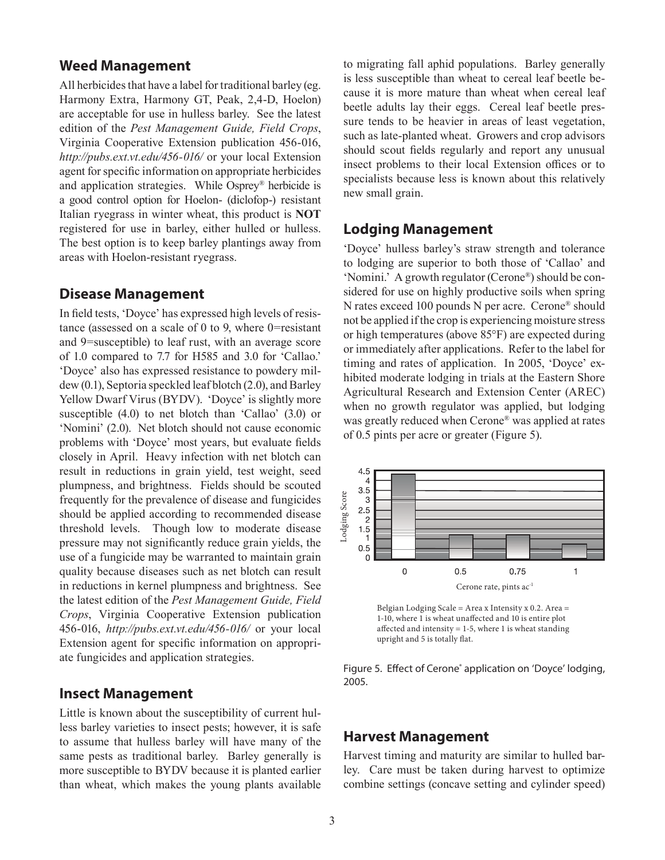#### **Weed Management**

All herbicides that have a label for traditional barley (eg. Harmony Extra, Harmony GT, Peak, 2,4-D, Hoelon) are acceptable for use in hulless barley. See the latest edition of the *Pest Management Guide, Field Crops*, Virginia Cooperative Extension publication 456-016, *http://pubs.ext.vt.edu/456-016/* or your local Extension agent for specific information on appropriate herbicides and application strategies. While Osprey® herbicide is a good control option for Hoelon- (diclofop-) resistant Italian ryegrass in winter wheat, this product is **NOT** registered for use in barley, either hulled or hulless. The best option is to keep barley plantings away from areas with Hoelon-resistant ryegrass.

#### **Disease Management**

In field tests, 'Doyce' has expressed high levels of resistance (assessed on a scale of 0 to 9, where 0=resistant and 9=susceptible) to leaf rust, with an average score of 1.0 compared to 7.7 for H585 and 3.0 for 'Callao.' 'Doyce' also has expressed resistance to powdery mildew (0.1), Septoria speckled leaf blotch (2.0), and Barley Yellow Dwarf Virus (BYDV). 'Doyce' is slightly more susceptible (4.0) to net blotch than 'Callao' (3.0) or 'Nomini' (2.0). Net blotch should not cause economic problems with 'Doyce' most years, but evaluate fields closely in April. Heavy infection with net blotch can result in reductions in grain yield, test weight, seed plumpness, and brightness. Fields should be scouted frequently for the prevalence of disease and fungicides should be applied according to recommended disease threshold levels. Though low to moderate disease pressure may not significantly reduce grain yields, the use of a fungicide may be warranted to maintain grain quality because diseases such as net blotch can result in reductions in kernel plumpness and brightness. See the latest edition of the *Pest Management Guide, Field Crops*, Virginia Cooperative Extension publication 456-016, *http://pubs.ext.vt.edu/456-016/* or your local Extension agent for specific information on appropriate fungicides and application strategies.

#### **Insect Management**

Little is known about the susceptibility of current hulless barley varieties to insect pests; however, it is safe to assume that hulless barley will have many of the same pests as traditional barley. Barley generally is more susceptible to BYDV because it is planted earlier than wheat, which makes the young plants available to migrating fall aphid populations. Barley generally is less susceptible than wheat to cereal leaf beetle because it is more mature than wheat when cereal leaf beetle adults lay their eggs. Cereal leaf beetle pressure tends to be heavier in areas of least vegetation, such as late-planted wheat. Growers and crop advisors should scout fields regularly and report any unusual insect problems to their local Extension offices or to specialists because less is known about this relatively new small grain.

#### **Lodging Management**

'Doyce' hulless barley's straw strength and tolerance to lodging are superior to both those of 'Callao' and 'Nomini.' A growth regulator (Cerone®) should be considered for use on highly productive soils when spring N rates exceed 100 pounds N per acre. Cerone® should not be applied if the crop is experiencing moisture stress or high temperatures (above 85°F) are expected during or immediately after applications. Refer to the label for timing and rates of application. In 2005, 'Doyce' exhibited moderate lodging in trials at the Eastern Shore Agricultural Research and Extension Center (AREC) when no growth regulator was applied, but lodging was greatly reduced when Cerone® was applied at rates of 0.5 pints per acre or greater (Figure 5).



Belgian Lodging Scale = Area x Intensity x 0.2. Area = 1-10, where 1 is wheat unaffected and 10 is entire plot affected and intensity  $= 1-5$ , where 1 is wheat standing upright and 5 is totally flat.

Figure 5. Effect of Cerone<sup>®</sup> application on 'Doyce' lodging, 2005.

#### **Harvest Management**

Harvest timing and maturity are similar to hulled barley. Care must be taken during harvest to optimize combine settings (concave setting and cylinder speed)